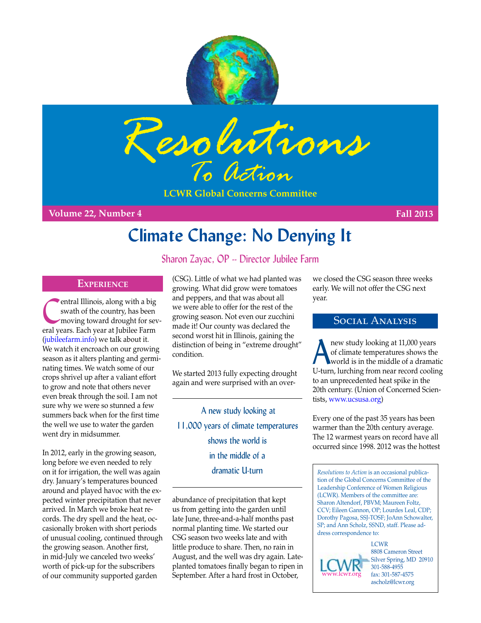



**LCWR Global Concerns Committee**

**Volume 22, Number 4 Fall 2013**

# **Climate Change: No Denying It**

## Sharon Zayac, OP -- Director Jubilee Farm

### **Experience**

entral Illinois, along with a big<br>
swath of the country, has been<br>
moving toward drought for sev-<br>
and wave in the biles Farm swath of the country, has been eral years. Each year at Jubilee Farm [\(jubileefarm.info\)](http://jubileefarm.info) we talk about it. We watch it encroach on our growing season as it alters planting and germinating times. We watch some of our crops shrivel up after a valiant effort to grow and note that others never even break through the soil. I am not sure why we were so stunned a few summers back when for the first time the well we use to water the garden went dry in midsummer.

In 2012, early in the growing season, long before we even needed to rely on it for irrigation, the well was again dry. January's temperatures bounced around and played havoc with the expected winter precipitation that never arrived. In March we broke heat records. The dry spell and the heat, occasionally broken with short periods of unusual cooling, continued through the growing season. Another first, in mid-July we canceled two weeks' worth of pick-up for the subscribers of our community supported garden

(CSG). Little of what we had planted was growing. What did grow were tomatoes and peppers, and that was about all we were able to offer for the rest of the growing season. Not even our zucchini made it! Our county was declared the second worst hit in Illinois, gaining the distinction of being in "extreme drought" condition.

We started 2013 fully expecting drought again and were surprised with an over-

 A new study looking at 11,000 years of climate temperatures shows the world is in the middle of a dramatic U-turn

abundance of precipitation that kept us from getting into the garden until late June, three-and-a-half months past normal planting time. We started our CSG season two weeks late and with little produce to share. Then, no rain in August, and the well was dry again. Lateplanted tomatoes finally began to ripen in September. After a hard frost in October,

we closed the CSG season three weeks early. We will not offer the CSG next year.

## Social Analysis

hew study looking at 11,000 years<br>of climate temperatures shows the<br>world is in the middle of a dramat of climate temperatures shows the world is in the middle of a dramatic U-turn, lurching from near record cooling to an unprecedented heat spike in the 20th century. (Union of Concerned Scientists, www.ucsusa.org)

Every one of the past 35 years has been warmer than the 20th century average. The 12 warmest years on record have all occurred since 1998. 2012 was the hottest

*Resolutions to Action* is an occasional publication of the Global Concerns Committee of the Leadership Conference of Women Religious (LCWR). Members of the committee are: Sharon Altendorf, PBVM; Maureen Foltz, CCV; Eileen Gannon, OP; Lourdes Leal, CDP; Dorothy Pagosa, SSJ-TOSF; JoAnn Schowalter, SP; and Ann Scholz, SSND, staff. Please address correspondence to:

**LCWR** 8808 Cameron Street Silver Spring, MD 20910 301-588-4955 fax: 301-587-4575 ascholz@lcwr.org www.lcwr.org